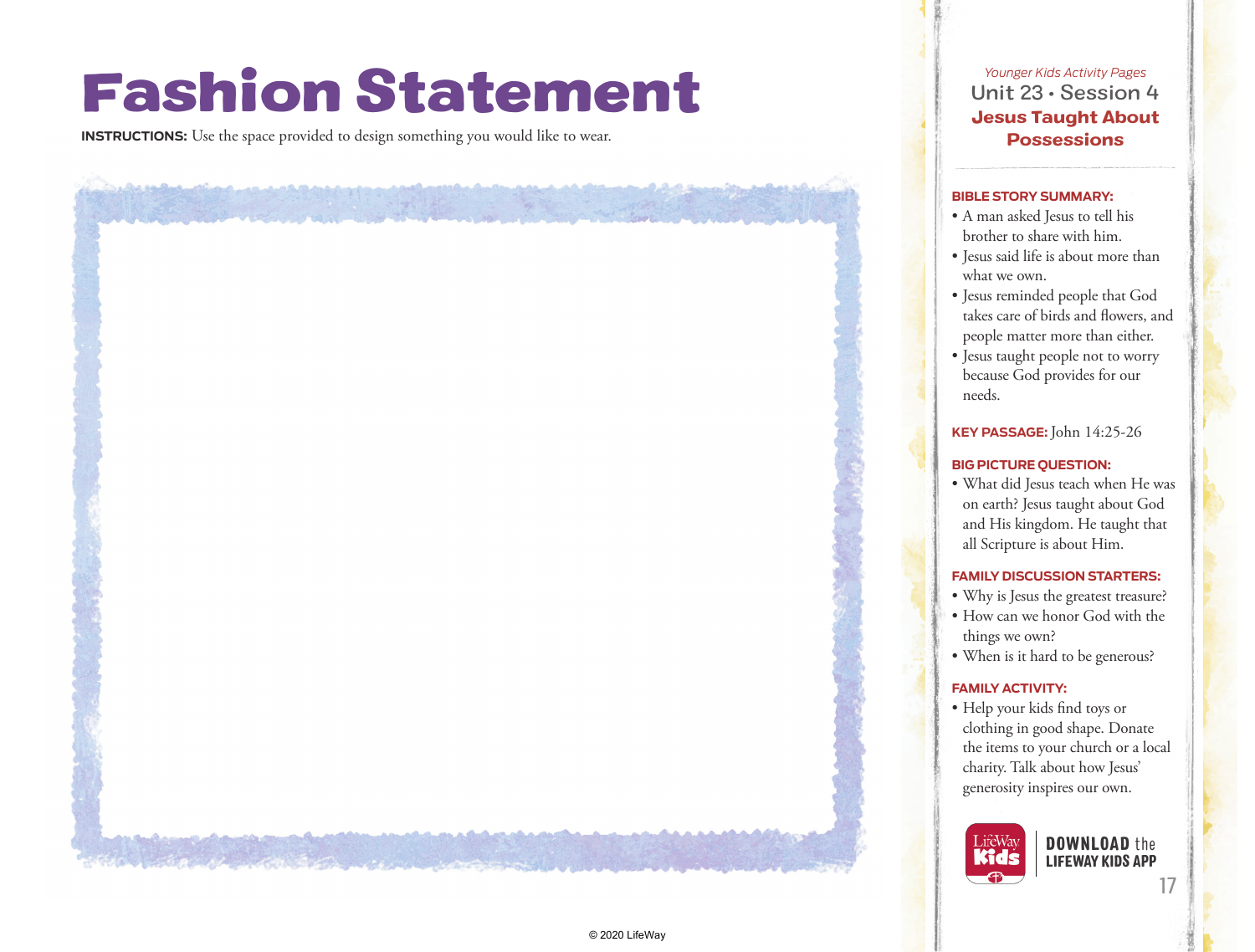# Fashion Statement

**INSTRUCTIONS:** Use the space provided to design something you would like to wear.

*Younger Kids Activity Pages* Unit 23 • Session 4 Jesus Taught About **Possessions** 

#### **BIBLE STORY SUMMARY:**

- A man asked Jesus to tell his brother to share with him.
- Jesus said life is about more than what we own.
- Jesus reminded people that God takes care of birds and flowers, and people matter more than either.
- Jesus taught people not to worry because God provides for our needs.

## **KEY PASSAGE:**John 14:25-26

#### **BIG PICTURE QUESTION:**

• What did Jesus teach when He was on earth? Jesus taught about God and His kingdom. He taught that all Scripture is about Him.

#### **FAMILY DISCUSSION STARTERS:**

- Why is Jesus the greatest treasure?
- How can we honor God with the things we own?
- When is it hard to be generous?

### **FAMILY ACTIVITY:**

• Help your kids find toys or clothing in good shape. Donate the items to your church or a local charity. Talk about how Jesus' generosity inspires our own.